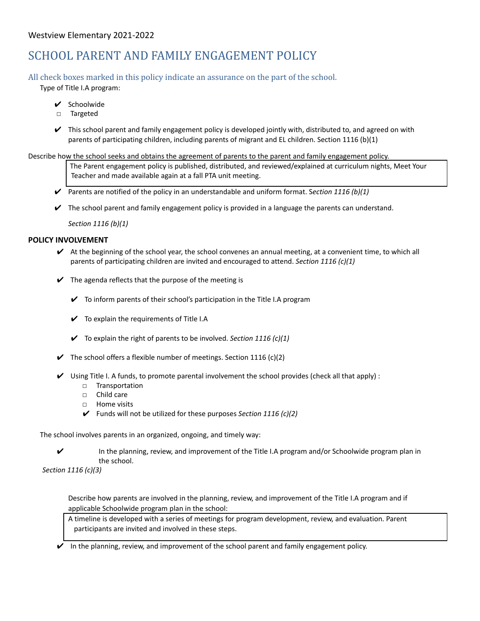# SCHOOL PARENT AND FAMILY ENGAGEMENT POLICY

All check boxes marked in this policy indicate an assurance on the part of the school.

Type of Title I.A program:

- ✔ Schoolwide
- □ Targeted
- $\blacktriangleright$  This school parent and family engagement policy is developed jointly with, distributed to, and agreed on with parents of participating children, including parents of migrant and EL children. Section 1116 (b)(1)

Describe how the school seeks and obtains the agreement of parents to the parent and family engagement policy.

The Parent engagement policy is published, distributed, and reviewed/explained at curriculum nights, Meet Your Teacher and made available again at a fall PTA unit meeting.

- ✔ Parents are notified of the policy in an understandable and uniform format. S*ection 1116 (b)(1)*
- $\triangledown$  The school parent and family engagement policy is provided in a language the parents can understand.

*Section 1116 (b)(1)*

### **POLICY INVOLVEMENT**

- $\vee$  At the beginning of the school year, the school convenes an annual meeting, at a convenient time, to which all parents of participating children are invited and encouraged to attend. *Section 1116 (c)(1)*
- $\checkmark$  The agenda reflects that the purpose of the meeting is
	- $\checkmark$  To inform parents of their school's participation in the Title I.A program
	- $\checkmark$  To explain the requirements of Title I.A
	- ✔ To explain the right of parents to be involved. *Section 1116 (c)(1)*
- $\blacktriangleright$  The school offers a flexible number of meetings. Section 1116 (c)(2)
- $\vee$  Using Title I. A funds, to promote parental involvement the school provides (check all that apply) :
	- □ Transportation
	- □ Child care
	- □ Home visits
	- ✔ Funds will not be utilized for these purposes *Section 1116 (c)(2)*

The school involves parents in an organized, ongoing, and timely way:

 $\checkmark$  In the planning, review, and improvement of the Title I.A program and/or Schoolwide program plan in the school.

*Section 1116 (c)(3)*

Describe how parents are involved in the planning, review, and improvement of the Title I.A program and if applicable Schoolwide program plan in the school:

A timeline is developed with a series of meetings for program development, review, and evaluation. Parent participants are invited and involved in these steps.

 $\vee$  In the planning, review, and improvement of the school parent and family engagement policy.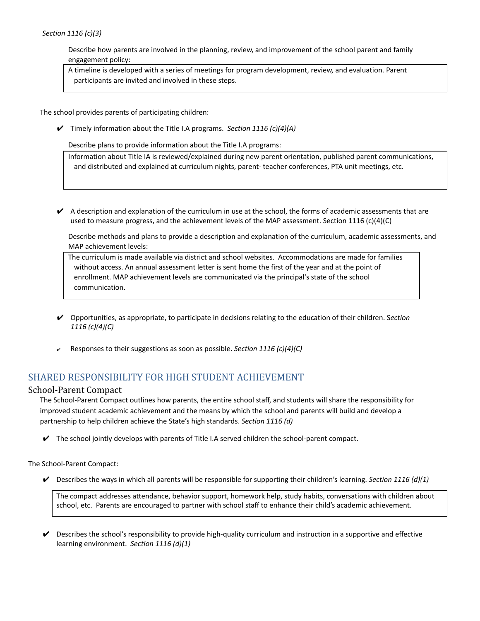#### *Section 1116 (c)(3)*

Describe how parents are involved in the planning, review, and improvement of the school parent and family engagement policy:

A timeline is developed with a series of meetings for program development, review, and evaluation. Parent participants are invited and involved in these steps.

The school provides parents of participating children:

✔ Timely information about the Title I.A programs. *Section 1116 (c)(4)(A)*

Describe plans to provide information about the Title I.A programs:

Information about Title IA is reviewed/explained during new parent orientation, published parent communications, and distributed and explained at curriculum nights, parent- teacher conferences, PTA unit meetings, etc.

 $\blacktriangleright$  A description and explanation of the curriculum in use at the school, the forms of academic assessments that are used to measure progress, and the achievement levels of the MAP assessment. Section 1116 (c)(4)(C)

Describe methods and plans to provide a description and explanation of the curriculum, academic assessments, and MAP achievement levels:

The curriculum is made available via district and school websites. Accommodations are made for families without access. An annual assessment letter is sent home the first of the year and at the point of enrollment. MAP achievement levels are communicated via the principal's state of the school communication.

- ✔ Opportunities, as appropriate, to participate in decisions relating to the education of their children. S*ection 1116 (c)(4)(C)*
- ✔ Responses to their suggestions as soon as possible. *Section 1116 (c)(4)(C)*

# SHARED RESPONSIBILITY FOR HIGH STUDENT ACHIEVEMENT

### School-Parent Compact

The School-Parent Compact outlines how parents, the entire school staff, and students will share the responsibility for improved student academic achievement and the means by which the school and parents will build and develop a partnership to help children achieve the State's high standards. *Section 1116 (d)*

 $\triangledown$  The school jointly develops with parents of Title I.A served children the school-parent compact.

The School-Parent Compact:

✔ Describes the ways in which all parents will be responsible for supporting their children's learning. *Section 1116 (d)(1)*

The compact addresses attendance, behavior support, homework help, study habits, conversations with children about school, etc. Parents are encouraged to partner with school staff to enhance their child's academic achievement.

 $\triangledown$  Describes the school's responsibility to provide high-quality curriculum and instruction in a supportive and effective learning environment. *Section 1116 (d)(1)*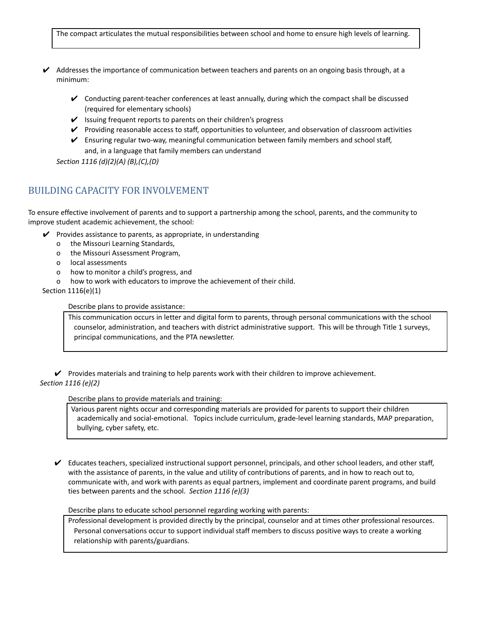The compact articulates the mutual responsibilities between school and home to ensure high levels of learning.

- $\vee$  Addresses the importance of communication between teachers and parents on an ongoing basis through, at a minimum:
	- ✔ Conducting parent-teacher conferences at least annually, during which the compact shall be discussed (required for elementary schools)
	- $\triangleright$  Issuing frequent reports to parents on their children's progress
	- ✔ Providing reasonable access to staff, opportunities to volunteer, and observation of classroom activities
	- $\triangledown$  Ensuring regular two-way, meaningful communication between family members and school staff, and, in a language that family members can understand

*Section 1116 (d)(2)(A) (B),(C),(D)*

# BUILDING CAPACITY FOR INVOLVEMENT

To ensure effective involvement of parents and to support a partnership among the school, parents, and the community to improve student academic achievement, the school:

- $\mathcal V$  Provides assistance to parents, as appropriate, in understanding
	- o the Missouri Learning Standards,
	- o the Missouri Assessment Program,
	- o local assessments
	- o how to monitor a child's progress, and
	- o how to work with educators to improve the achievement of their child.

Section 1116(e)(1)

Describe plans to provide assistance:

This communication occurs in letter and digital form to parents, through personal communications with the school counselor, administration, and teachers with district administrative support. This will be through Title 1 surveys, principal communications, and the PTA newsletter.

✔ Provides materials and training to help parents work with their children to improve achievement. *Section 1116 (e)(2)*

Describe plans to provide materials and training:

Various parent nights occur and corresponding materials are provided for parents to support their children academically and social-emotional. Topics include curriculum, grade-level learning standards, MAP preparation, bullying, cyber safety, etc.

 $\vee$  Educates teachers, specialized instructional support personnel, principals, and other school leaders, and other staff, with the assistance of parents, in the value and utility of contributions of parents, and in how to reach out to, communicate with, and work with parents as equal partners, implement and coordinate parent programs, and build ties between parents and the school. *Section 1116 (e)(3)*

Describe plans to educate school personnel regarding working with parents:

Professional development is provided directly by the principal, counselor and at times other professional resources. Personal conversations occur to support individual staff members to discuss positive ways to create a working relationship with parents/guardians.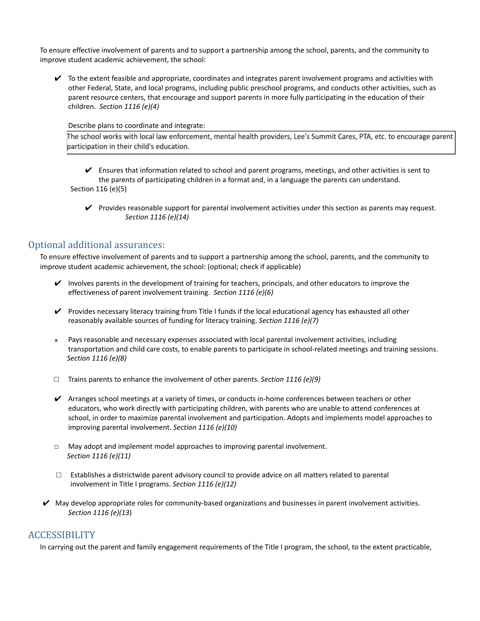To ensure effective involvement of parents and to support a partnership among the school, parents, and the community to improve student academic achievement, the school:

 $\vee$  To the extent feasible and appropriate, coordinates and integrates parent involvement programs and activities with other Federal, State, and local programs, including public preschool programs, and conducts other activities, such as parent resource centers, that encourage and support parents in more fully participating in the education of their children. *Section 1116 (e)(4)*

Describe plans to coordinate and integrate:

The school works with local law enforcement, mental health providers, Lee's Summit Cares, PTA, etc. to encourage parent participation in their child's education.

✔ Ensures that information related to school and parent programs, meetings, and other activities is sent to the parents of participating children in a format and, in a language the parents can understand. Section 116 (e)(5)

 $\triangledown$  Provides reasonable support for parental involvement activities under this section as parents may request. *Section 1116 (e)(14)*

## Optional additional assurances:

To ensure effective involvement of parents and to support a partnership among the school, parents, and the community to improve student academic achievement, the school: (optional; check if applicable)

- $\vee$  Involves parents in the development of training for teachers, principals, and other educators to improve the effectiveness of parent involvement training. *Section 1116 (e)(6)*
- $\vee$  Provides necessary literacy training from Title I funds if the local educational agency has exhausted all other reasonably available sources of funding for literacy training. *Section 1116 (e)(7)*
- Pays reasonable and necessary expenses associated with local parental involvement activities, including transportation and child care costs, to enable parents to participate in school-related meetings and training sessions. *Section 1116 (e)(8)*
- *□* Trains parents to enhance the involvement of other parents. *Section 1116 (e)(9)*
- $\blacktriangleright$  Arranges school meetings at a variety of times, or conducts in-home conferences between teachers or other educators, who work directly with participating children, with parents who are unable to attend conferences at school, in order to maximize parental involvement and participation. Adopts and implements model approaches to improving parental involvement. *Section 1116 (e)(10)*
- *□* May adopt and implement model approaches to improving parental involvement. *Section 1116 (e)(11)*
- *□* Establishes a districtwide parent advisory council to provide advice on all matters related to parental involvement in Title I programs. *Section 1116 (e)(12)*
- $\vee$  May develop appropriate roles for community-based organizations and businesses in parent involvement activities. *Section 1116 (e)(13*)

## ACCESSIBILITY

In carrying out the parent and family engagement requirements of the Title I program, the school, to the extent practicable,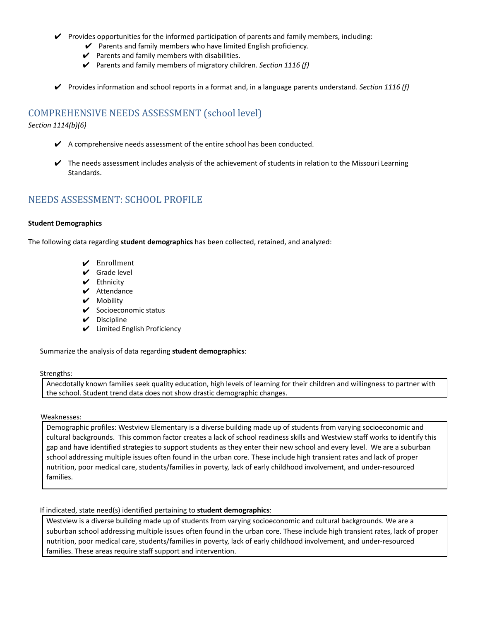- $\triangledown$  Provides opportunities for the informed participation of parents and family members, including:
	- $\vee$  Parents and family members who have limited English proficiency.
	- $\checkmark$  Parents and family members with disabilities.
	- ✔ Parents and family members of migratory children. *Section 1116 (f)*
- ✔ Provides information and school reports in a format and, in a language parents understand. *Section 1116 (f)*

# COMPREHENSIVE NEEDS ASSESSMENT (school level)

*Section 1114(b)(6)*

- $\blacktriangleright$  A comprehensive needs assessment of the entire school has been conducted.
- $\blacktriangleright$  The needs assessment includes analysis of the achievement of students in relation to the Missouri Learning Standards.

# NEEDS ASSESSMENT: SCHOOL PROFILE

#### **Student Demographics**

The following data regarding **student demographics** has been collected, retained, and analyzed:

- $\angle$  Enrollment
- $\checkmark$  Grade level
- ✔ Ethnicity
- $\mathcal V$  Attendance
- ✔ Mobility
- ✔ Socioeconomic status
- ✔ Discipline
- $\mathcal V$  Limited English Proficiency

Summarize the analysis of data regarding **student demographics**:

#### Strengths:

Anecdotally known families seek quality education, high levels of learning for their children and willingness to partner with the school. Student trend data does not show drastic demographic changes.

#### Weaknesses:

Demographic profiles: Westview Elementary is a diverse building made up of students from varying socioeconomic and cultural backgrounds. This common factor creates a lack of school readiness skills and Westview staff works to identify this gap and have identified strategies to support students as they enter their new school and every level. We are a suburban school addressing multiple issues often found in the urban core. These include high transient rates and lack of proper nutrition, poor medical care, students/families in poverty, lack of early childhood involvement, and under-resourced families.

#### If indicated, state need(s) identified pertaining to **student demographics**:

Westview is a diverse building made up of students from varying socioeconomic and cultural backgrounds. We are a suburban school addressing multiple issues often found in the urban core. These include high transient rates, lack of proper nutrition, poor medical care, students/families in poverty, lack of early childhood involvement, and under-resourced families. These areas require staff support and intervention.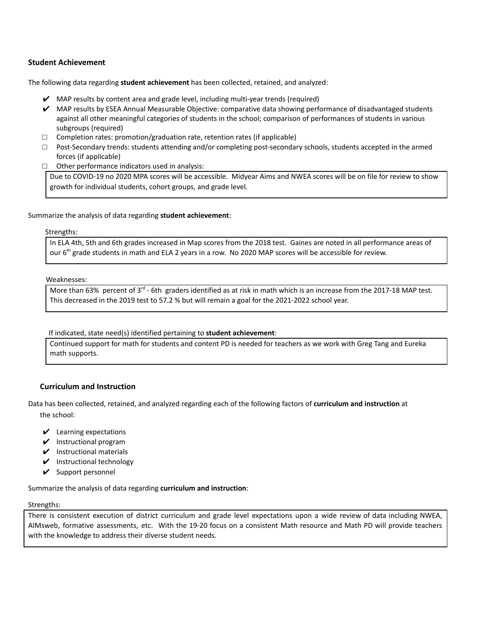#### **Student Achievement**

The following data regarding **student achievement** has been collected, retained, and analyzed:

- $\vee$  MAP results by content area and grade level, including multi-year trends (required)
- $\vee$  MAP results by ESEA Annual Measurable Objective: comparative data showing performance of disadvantaged students against all other meaningful categories of students in the school; comparison of performances of students in various subgroups (required)
- □ Completion rates: promotion/graduation rate, retention rates (if applicable)
- $\square$  Post-Secondary trends: students attending and/or completing post-secondary schools, students accepted in the armed forces (if applicable)
- $\Box$  Other performance indicators used in analysis:

Due to COVID-19 no 2020 MPA scores will be accessible. Midyear Aims and NWEA scores will be on file for review to show growth for individual students, cohort groups, and grade level.

#### Summarize the analysis of data regarding **student achievement**:

#### Strengths:

In ELA 4th, 5th and 6th grades increased in Map scores from the 2018 test. Gaines are noted in all performance areas of our 6<sup>th</sup> grade students in math and ELA 2 years in a row. No 2020 MAP scores will be accessible for review.

#### Weaknesses:

More than 63% percent of 3 $^{rd}$  - 6th graders identified as at risk in math which is an increase from the 2017-18 MAP test. This decreased in the 2019 test to 57.2 % but will remain a goal for the 2021-2022 school year.

If indicated, state need(s) identified pertaining to **student achievement**:

Continued support for math for students and content PD is needed for teachers as we work with Greg Tang and Eureka math supports.

#### **Curriculum and Instruction**

Data has been collected, retained, and analyzed regarding each of the following factors of **curriculum and instruction** at the school:

- $\vee$  Learning expectations
- $\vee$  Instructional program
- $\nu$  Instructional materials
- $\mathcal V$  Instructional technology
- $\vee$  Support personnel

Summarize the analysis of data regarding **curriculum and instruction**:

#### Strengths:

There is consistent execution of district curriculum and grade level expectations upon a wide review of data including NWEA, AIMsweb, formative assessments, etc. With the 19-20 focus on a consistent Math resource and Math PD will provide teachers with the knowledge to address their diverse student needs.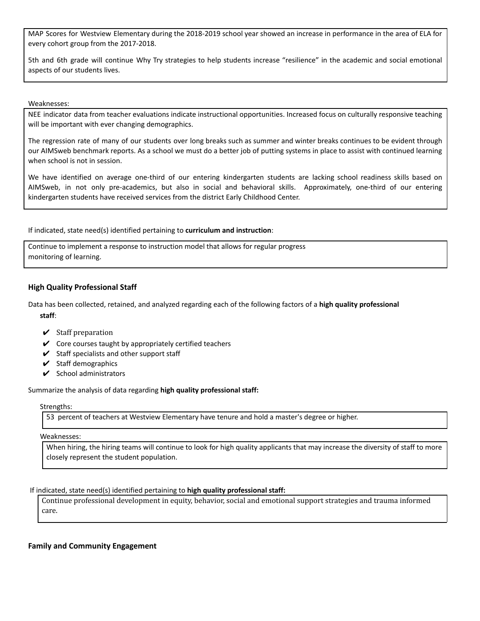MAP Scores for Westview Elementary during the 2018-2019 school year showed an increase in performance in the area of ELA for every cohort group from the 2017-2018.

5th and 6th grade will continue Why Try strategies to help students increase "resilience" in the academic and social emotional aspects of our students lives.

Weaknesses:

NEE indicator data from teacher evaluations indicate instructional opportunities. Increased focus on culturally responsive teaching will be important with ever changing demographics.

The regression rate of many of our students over long breaks such as summer and winter breaks continues to be evident through our AIMSweb benchmark reports. As a school we must do a better job of putting systems in place to assist with continued learning when school is not in session.

We have identified on average one-third of our entering kindergarten students are lacking school readiness skills based on AIMSweb, in not only pre-academics, but also in social and behavioral skills. Approximately, one-third of our entering kindergarten students have received services from the district Early Childhood Center.

If indicated, state need(s) identified pertaining to **curriculum and instruction**:

Continue to implement a response to instruction model that allows for regular progress monitoring of learning.

#### **High Quality Professional Staff**

Data has been collected, retained, and analyzed regarding each of the following factors of a **high quality professional staff**:

- $\checkmark$  Staff preparation
- $\checkmark$  Core courses taught by appropriately certified teachers
- $\checkmark$  Staff specialists and other support staff
- $\boldsymbol{\checkmark}$  Staff demographics
- $\checkmark$  School administrators

Summarize the analysis of data regarding **high quality professional staff:**

#### Strengths:

53 percent of teachers at Westview Elementary have tenure and hold a master's degree or higher.

#### Weaknesses:

When hiring, the hiring teams will continue to look for high quality applicants that may increase the diversity of staff to more closely represent the student population.

If indicated, state need(s) identified pertaining to **high quality professional staff:**

Continue professional development in equity, behavior, social and emotional support strategies and trauma informed care.

#### **Family and Community Engagement**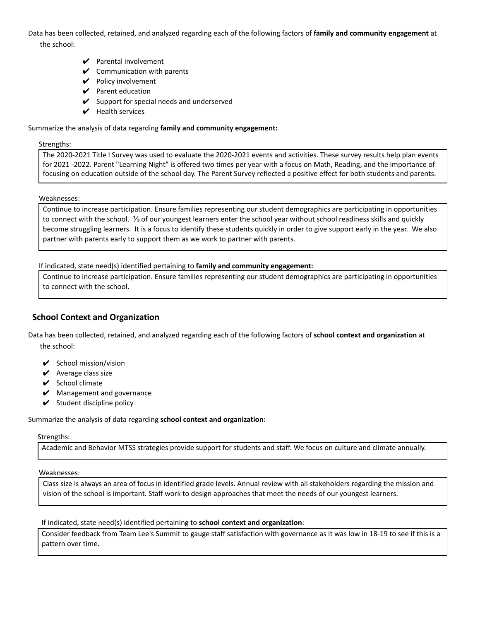Data has been collected, retained, and analyzed regarding each of the following factors of **family and community engagement** at the school:

- $\mathbf y$  Parental involvement
- $\mathcal V$  Communication with parents
- ✔ Policy involvement
- $\mathcal V$  Parent education
- $\checkmark$  Support for special needs and underserved
- $\triangleright$  Health services

#### Summarize the analysis of data regarding **family and community engagement:**

#### Strengths:

The 2020-2021 Title I Survey was used to evaluate the 2020-2021 events and activities. These survey results help plan events for 2021 -2022. Parent "Learning Night" is offered two times per year with a focus on Math, Reading, and the importance of focusing on education outside of the school day. The Parent Survey reflected a positive effect for both students and parents.

#### Weaknesses:

Continue to increase participation. Ensure families representing our student demographics are participating in opportunities to connect with the school. ⅓ of our youngest learners enter the school year without school readiness skills and quickly become struggling learners. It is a focus to identify these students quickly in order to give support early in the year. We also partner with parents early to support them as we work to partner with parents.

#### If indicated, state need(s) identified pertaining to **family and community engagement:**

Continue to increase participation. Ensure families representing our student demographics are participating in opportunities to connect with the school.

## **School Context and Organization**

Data has been collected, retained, and analyzed regarding each of the following factors of **school context and organization** at the school:

- $\checkmark$  School mission/vision
- $\vee$  Average class size
- $\checkmark$  School climate
- $\mathcal V$  Management and governance
- $\checkmark$  Student discipline policy

#### Summarize the analysis of data regarding **school context and organization:**

#### Strengths:

Academic and Behavior MTSS strategies provide support for students and staff. We focus on culture and climate annually.

#### Weaknesses:

Class size is always an area of focus in identified grade levels. Annual review with all stakeholders regarding the mission and vision of the school is important. Staff work to design approaches that meet the needs of our youngest learners.

#### If indicated, state need(s) identified pertaining to **school context and organization**:

Consider feedback from Team Lee's Summit to gauge staff satisfaction with governance as it was low in 18-19 to see if this is a pattern over time.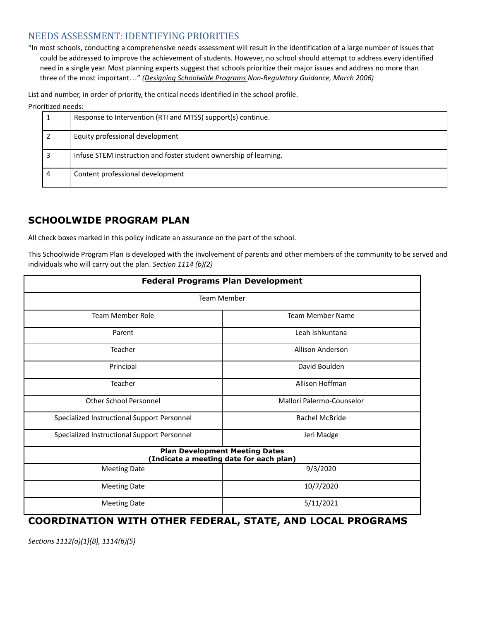# NEEDS ASSESSMENT: IDENTIFYING PRIORITIES

"In most schools, conducting a comprehensive needs assessment will result in the identification of a large number of issues that could be addressed to improve the achievement of students. However, no school should attempt to address every identified need in a single year. Most planning experts suggest that schools prioritize their major issues and address no more than three of the most important…" *(Designing [Schoolwide](http://dese.mo.gov/sites/default/files/Schoolwide_Plan_03_06.pdf) Programs Non-Regulatory Guidance, March 2006)*

List and number, in order of priority, the critical needs identified in the school profile.

#### Prioritized needs:

|   | Response to Intervention (RTI and MTSS) support(s) continue.      |
|---|-------------------------------------------------------------------|
|   | Equity professional development                                   |
|   | Infuse STEM instruction and foster student ownership of learning. |
| 4 | Content professional development                                  |

# **SCHOOLWIDE PROGRAM PLAN**

All check boxes marked in this policy indicate an assurance on the part of the school.

This Schoolwide Program Plan is developed with the involvement of parents and other members of the community to be served and individuals who will carry out the plan. *Section 1114 (b)(2)*

|                                             | <b>Federal Programs Plan Development</b>                                         |
|---------------------------------------------|----------------------------------------------------------------------------------|
|                                             | <b>Team Member</b>                                                               |
| <b>Team Member Role</b>                     | <b>Team Member Name</b>                                                          |
| Parent                                      | Leah Ishkuntana                                                                  |
| Teacher                                     | Allison Anderson                                                                 |
| Principal                                   | David Boulden                                                                    |
| Teacher                                     | Allison Hoffman                                                                  |
| <b>Other School Personnel</b>               | Mallori Palermo-Counselor                                                        |
| Specialized Instructional Support Personnel | Rachel McBride                                                                   |
| Specialized Instructional Support Personnel | Jeri Madge                                                                       |
|                                             | <b>Plan Development Meeting Dates</b><br>(Indicate a meeting date for each plan) |
| <b>Meeting Date</b>                         | 9/3/2020                                                                         |
| <b>Meeting Date</b>                         | 10/7/2020                                                                        |
| <b>Meeting Date</b>                         | 5/11/2021                                                                        |

# **COORDINATION WITH OTHER FEDERAL, STATE, AND LOCAL PROGRAMS**

*Sections 1112(a)(1)(B), 1114(b)(5)*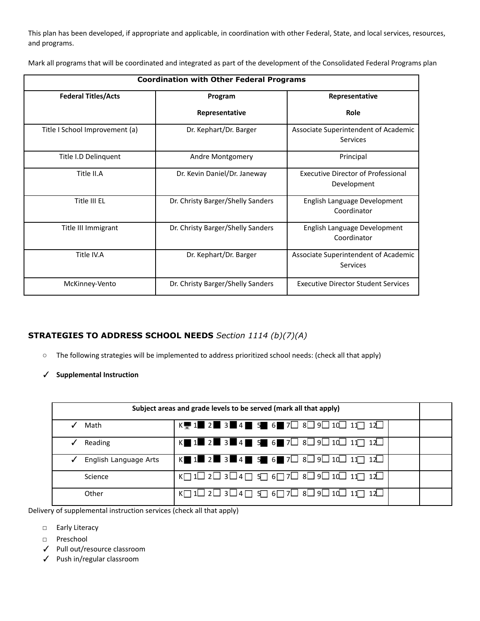This plan has been developed, if appropriate and applicable, in coordination with other Federal, State, and local services, resources, and programs.

Mark all programs that will be coordinated and integrated as part of the development of the Consolidated Federal Programs plan

|                                | <b>Coordination with Other Federal Programs</b> |                                                          |
|--------------------------------|-------------------------------------------------|----------------------------------------------------------|
| <b>Federal Titles/Acts</b>     | Program                                         | Representative                                           |
|                                | Representative                                  | Role                                                     |
| Title I School Improvement (a) | Dr. Kephart/Dr. Barger                          | Associate Superintendent of Academic<br>Services         |
| Title I.D Delinquent           | Andre Montgomery                                | Principal                                                |
| Title II.A                     | Dr. Kevin Daniel/Dr. Janeway                    | <b>Executive Director of Professional</b><br>Development |
| Title III EL                   | Dr. Christy Barger/Shelly Sanders               | English Language Development<br>Coordinator              |
| Title III Immigrant            | Dr. Christy Barger/Shelly Sanders               | English Language Development<br>Coordinator              |
| Title IV.A                     | Dr. Kephart/Dr. Barger                          | Associate Superintendent of Academic<br>Services         |
| McKinney-Vento                 | Dr. Christy Barger/Shelly Sanders               | <b>Executive Director Student Services</b>               |

## **STRATEGIES TO ADDRESS SCHOOL NEEDS** *Section 1114 (b)(7)(A)*

- **○** The following strategies will be implemented to address prioritized school needs: (check all that apply)
- ✓ **Supplemental Instruction**

|                       | Subject areas and grade levels to be served (mark all that apply)                                                                                              |  |
|-----------------------|----------------------------------------------------------------------------------------------------------------------------------------------------------------|--|
| Math                  | $K = 1$ 2 3 4 5 6 7 $\Box$ 3 $\Box$ 10 $\Box$ 11 $\Box$ 12                                                                                                     |  |
| Reading<br>✓          | K $1$ $2$ $3$ $4$ $5$ $5$ $6$ $7$ $1$ $8$ $9$ $10$ $11$ $12$                                                                                                   |  |
| English Language Arts | $K$ 1 2 $2$ 3 4 $\rightarrow$ 5 6 7 $\rightarrow$ 8 9 10 11 11 12                                                                                              |  |
| Science               | $K \square$ 1 $\square$ 2 $\square$ 3 $\square$ 4 $\square$ 5 $\square$ 6 $\square$ 7 $\square$ 8 $\square$ 9 $\square$ 10 $\square$ 11 $\square$ 12 $\square$ |  |
| Other                 | K $\Box$ 1 $\Box$ 2 $\Box$ 3 $\Box$ 4 $\Box$ 5 $\Box$ 6 $\Box$ 7 $\Box$ 8 $\Box$ 9 $\Box$ 10 $\Box$ 11 $\Box$ 12 $\Box$                                        |  |

Delivery of supplemental instruction services (check all that apply)

- □ Early Literacy
- □ Preschool
- ✓ Pull out/resource classroom
- ✓ Push in/regular classroom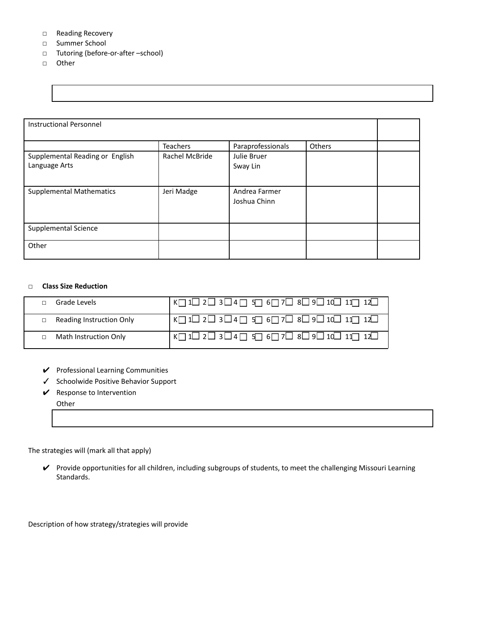#### □ Reading Recovery

- □ Summer School
- □ Tutoring (before-or-after –school)
- □ Other

| <b>Instructional Personnel</b>  |                |                   |        |  |
|---------------------------------|----------------|-------------------|--------|--|
|                                 |                |                   |        |  |
|                                 | Teachers       | Paraprofessionals | Others |  |
| Supplemental Reading or English | Rachel McBride | Julie Bruer       |        |  |
| Language Arts                   |                | Sway Lin          |        |  |
|                                 |                |                   |        |  |
| <b>Supplemental Mathematics</b> | Jeri Madge     | Andrea Farmer     |        |  |
|                                 |                | Joshua Chinn      |        |  |
|                                 |                |                   |        |  |
|                                 |                |                   |        |  |
| Supplemental Science            |                |                   |        |  |
|                                 |                |                   |        |  |
| Other                           |                |                   |        |  |
|                                 |                |                   |        |  |

#### **□ Class Size Reduction**

| Grade Levels             | │K□1□2□3□4□5□6□7□8□9□10□11□12□                                                                                                                              |
|--------------------------|-------------------------------------------------------------------------------------------------------------------------------------------------------------|
| Reading Instruction Only | $K \square$ 1 $\square$ 2 $\square$ 3 $\square$ 4 $\square$ 5 $\square$ 6 $\square$ 7 $\square$ 8 $\square$ 9 $\square$ 1 $\Omega$ 1 $\square$ 1 $\square$  |
| Math Instruction Only    | $K \square$ 1 $\square$ 2 $\square$ 3 $\square$ 4 $\square$ 5 $\square$ 6 $\square$ 7 $\square$ 8 $\square$ 9 $\square$ 1 $\square$ 1 $\square$ 1 $\square$ |

- ✔ Professional Learning Communities
- ✓ Schoolwide Positive Behavior Support
- $\mathcal V$  Response to Intervention

**Other** 

### The strategies will (mark all that apply)

✔ Provide opportunities for all children, including subgroups of students, to meet the challenging Missouri Learning Standards.

Description of how strategy/strategies will provide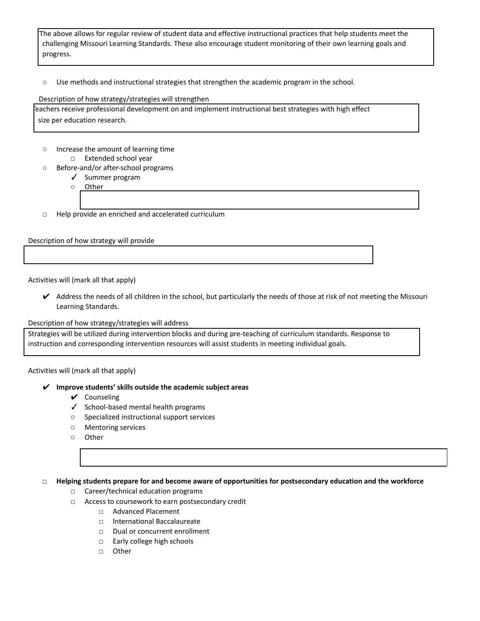The above allows for regular review of student data and effective instructional practices that help students meet the challenging Missouri Learning Standards. These also encourage student monitoring of their own learning goals and progress.

○ Use methods and instructional strategies that strengthen the academic program in the school.

#### Description of how strategy/strategies will strengthen

Teachers receive professional development on and implement instructional best strategies with high effect size per education research.

- Increase the amount of learning time □ Extended school year
- Before-and/or after-school programs
	- ✓ Summer program
	- Other
	-
- □ Help provide an enriched and accelerated curriculum

Description of how strategy will provide

#### Activities will (mark all that apply)

 $\vee$  Address the needs of all children in the school, but particularly the needs of those at risk of not meeting the Missouri Learning Standards.

#### Description of how strategy/strategies will address

Strategies will be utilized during intervention blocks and during pre-teaching of curriculum standards. Response to instruction and corresponding intervention resources will assist students in meeting individual goals.

Activities will (mark all that apply)

#### ✔ **Improve students' skills outside the academic subject areas**

- ✔ Counseling
- ✓ School-based mental health programs
- Specialized instructional support services
- Mentoring services
- Other

#### **□ Helping students prepare for and become aware of opportunities for postsecondary education and the workforce**

- □ Career/technical education programs
- □ Access to coursework to earn postsecondary credit
	- □ Advanced Placement
	- □ International Baccalaureate
	- □ Dual or concurrent enrollment
	- □ Early college high schools
	- □ Other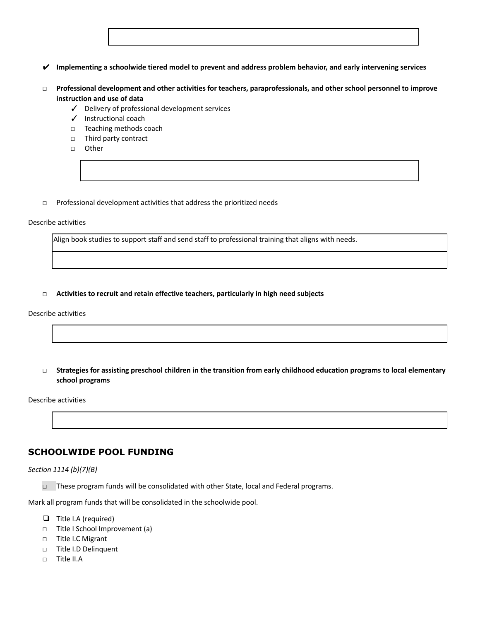| $\blacktriangleright$ Implementing a schoolwide tiered model to prevent and address problem behavior, and early intervening services |
|--------------------------------------------------------------------------------------------------------------------------------------|
|--------------------------------------------------------------------------------------------------------------------------------------|

- **□ Professional development and other activities for teachers, paraprofessionals, and other school personnel to improve instruction and use of data**
	- ✓ Delivery of professional development services
	- ✓ Instructional coach
	- □ Teaching methods coach
	- □ Third party contract
	- **□** Other
- □ Professional development activities that address the prioritized needs

#### Describe activities

Align book studies to support staff and send staff to professional training that aligns with needs.

**□ Activities to recruit and retain effective teachers, particularly in high need subjects**

#### Describe activities

□ Strategies for assisting preschool children in the transition from early childhood education programs to local elementary **school programs**

Describe activities

## **SCHOOLWIDE POOL FUNDING**

*Section 1114 (b)(7)(B)*

□ These program funds will be consolidated with other State, local and Federal programs.

Mark all program funds that will be consolidated in the schoolwide pool.

- ❑ Title I.A (required)
- □ Title I School Improvement (a)
- □ Title I.C Migrant
- □ Title I.D Delinquent
- □ Title II.A